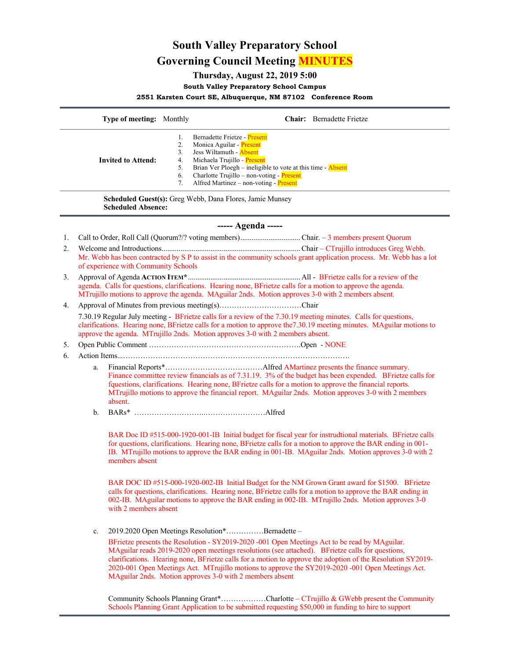# **South Valley Preparatory School Governing Council Meeting MINUTES**

## **Thursday, August 22, 2019 5:00**

**South Valley Preparatory School Campus**

**2551 Karsten Court SE, Albuquerque, NM 87102 Conference Room**

|                                                                                       | Type of meeting: Monthly                                                                                                                                                                                                                                                                                                   |                                        |                                                                                                                                                                                                                                                                                 | Chair: Bernadette Frietze |
|---------------------------------------------------------------------------------------|----------------------------------------------------------------------------------------------------------------------------------------------------------------------------------------------------------------------------------------------------------------------------------------------------------------------------|----------------------------------------|---------------------------------------------------------------------------------------------------------------------------------------------------------------------------------------------------------------------------------------------------------------------------------|---------------------------|
|                                                                                       | <b>Invited to Attend:</b>                                                                                                                                                                                                                                                                                                  | 1.<br>2.<br>3.<br>4.<br>5.<br>6.<br>7. | Bernadette Frietze - Present<br>Monica Aguilar - Present<br>Jess Wiltamuth - <b>Absent</b><br>Michaela Trujillo - Present<br>Brian Ver Ploegh – ineligible to vote at this time - Absent<br>Charlotte Trujillo – non-voting - Present<br>Alfred Martinez - non-voting - Present |                           |
| Scheduled Guest(s): Greg Webb, Dana Flores, Jamie Munsey<br><b>Scheduled Absence:</b> |                                                                                                                                                                                                                                                                                                                            |                                        |                                                                                                                                                                                                                                                                                 |                           |
| $---$ Agenda $---$                                                                    |                                                                                                                                                                                                                                                                                                                            |                                        |                                                                                                                                                                                                                                                                                 |                           |
| 1.                                                                                    |                                                                                                                                                                                                                                                                                                                            |                                        |                                                                                                                                                                                                                                                                                 |                           |
| 2.                                                                                    | Mr. Webb has been contracted by S P to assist in the community schools grant application process. Mr. Webb has a lot<br>of experience with Community Schools                                                                                                                                                               |                                        |                                                                                                                                                                                                                                                                                 |                           |
| 3.                                                                                    | agenda. Calls for questions, clarifications. Hearing none, BFrietze calls for a motion to approve the agenda.<br>MTrujillo motions to approve the agenda. MAguilar 2nds. Motion approves 3-0 with 2 members absent.                                                                                                        |                                        |                                                                                                                                                                                                                                                                                 |                           |
| 4.                                                                                    |                                                                                                                                                                                                                                                                                                                            |                                        |                                                                                                                                                                                                                                                                                 |                           |
|                                                                                       | 7.30.19 Regular July meeting - BFrietze calls for a review of the 7.30.19 meeting minutes. Calls for questions,<br>clarifications. Hearing none, BFrietze calls for a motion to approve the 7.30.19 meeting minutes. MAguilar motions to<br>approve the agenda. MTrujillo 2nds. Motion approves 3-0 with 2 members absent. |                                        |                                                                                                                                                                                                                                                                                 |                           |
| 5.                                                                                    |                                                                                                                                                                                                                                                                                                                            |                                        |                                                                                                                                                                                                                                                                                 |                           |
| 6.                                                                                    |                                                                                                                                                                                                                                                                                                                            |                                        |                                                                                                                                                                                                                                                                                 |                           |
|                                                                                       | a.                                                                                                                                                                                                                                                                                                                         |                                        |                                                                                                                                                                                                                                                                                 |                           |

- Finance committee review financials as of 7.31.19. 3% of the budget has been expended. BFrietze calls for fquestions, clarifications. Hearing none, BFrietze calls for a motion to approve the financial reports. MTrujillo motions to approve the financial report. MAguilar 2nds. Motion approves 3-0 with 2 members absent.
- b. BARs\* ………………………..……………………Alfred

BAR Doc ID #515-000-1920-001-IB Initial budget for fiscal year for instrudtional materials. BFrietze calls for questions, clarifications. Hearing none, BFrietze calls for a motion to approve the BAR ending in 001- IB. MTrujillo motions to approve the BAR ending in 001-IB. MAguilar 2nds. Motion approves 3-0 with 2 members absent

BAR DOC ID #515-000-1920-002-IB Initial Budget for the NM Grown Grant award for \$1500. BFrietze calls for questions, clarifications. Hearing none, BFrietze calls for a motion to approve the BAR ending in 002-IB. MAguilar motions to approve the BAR ending in 002-IB. MTrujillo 2nds. Motion approves 3-0 with 2 members absent

c. 2019.2020 Open Meetings Resolution\*……………Bernadette –

BFrietze presents the Resolution - SY2019-2020 -001 Open Meetings Act to be read by MAguilar. MAguilar reads 2019-2020 open meetings resolutions (see attached). BFrietze calls for questions, clarifications. Hearing none, BFrietze calls for a motion to approve the adoption of the Resolution SY2019- 2020-001 Open Meetings Act. MTrujillo motions to approve the SY2019-2020 -001 Open Meetings Act. MAguilar 2nds. Motion approves 3-0 with 2 members absent

Community Schools Planning Grant\*………………Charlotte – CTrujillo & GWebb present the Community Schools Planning Grant Application to be submitted requesting \$50,000 in funding to hire to support